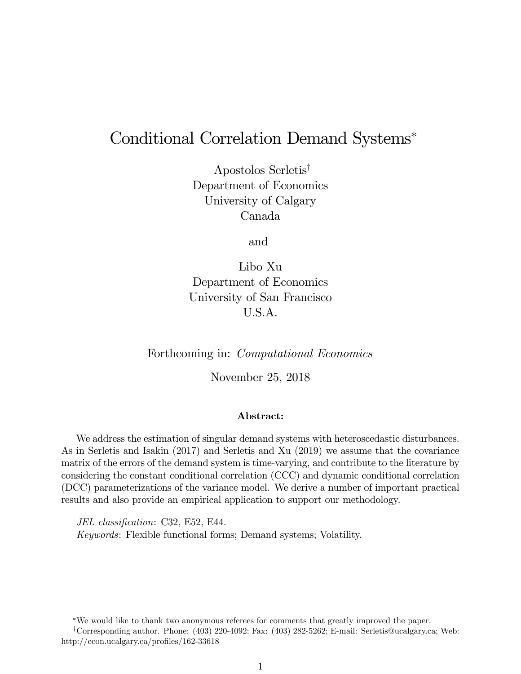# Conditional Correlation Demand Systems

Apostolos Serletis<sup>†</sup> Department of Economics University of Calgary Canada

and

Libo Xu Department of Economics University of San Francisco U.S.A.

Forthcoming in: Computational Economics

November 25, 2018

### Abstract:

We address the estimation of singular demand systems with heteroscedastic disturbances. As in Serletis and Isakin (2017) and Serletis and Xu (2019) we assume that the covariance matrix of the errors of the demand system is time-varying, and contribute to the literature by considering the constant conditional correlation (CCC) and dynamic conditional correlation (DCC) parameterizations of the variance model. We derive a number of important practical results and also provide an empirical application to support our methodology.

JEL classification: C32, E52, E44. Keywords: Flexible functional forms; Demand systems; Volatility.

We would like to thank two anonymous referees for comments that greatly improved the paper.

<sup>y</sup>Corresponding author. Phone: (403) 220-4092; Fax: (403) 282-5262; E-mail: Serletis@ucalgary.ca; Web: http://econ.ucalgary.ca/profiles/162-33618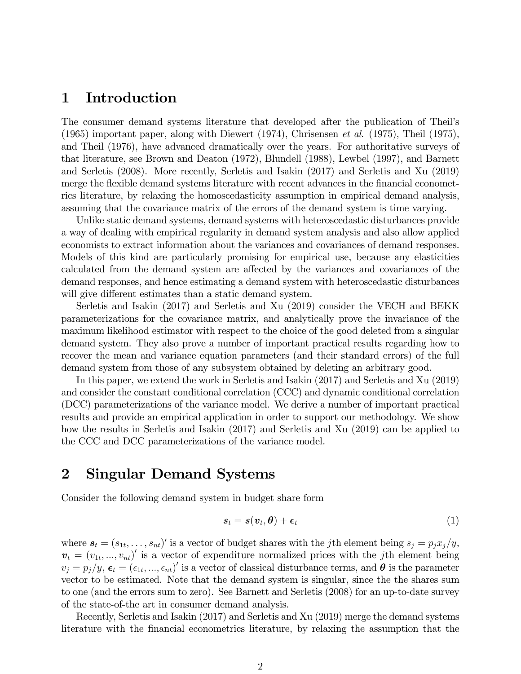### 1 Introduction

The consumer demand systems literature that developed after the publication of Theilís (1965) important paper, along with Diewert (1974), Chrisensen et al. (1975), Theil (1975), and Theil (1976), have advanced dramatically over the years. For authoritative surveys of that literature, see Brown and Deaton (1972), Blundell (1988), Lewbel (1997), and Barnett and Serletis (2008). More recently, Serletis and Isakin (2017) and Serletis and Xu (2019) merge the flexible demand systems literature with recent advances in the financial econometrics literature, by relaxing the homoscedasticity assumption in empirical demand analysis, assuming that the covariance matrix of the errors of the demand system is time varying.

Unlike static demand systems, demand systems with heteroscedastic disturbances provide a way of dealing with empirical regularity in demand system analysis and also allow applied economists to extract information about the variances and covariances of demand responses. Models of this kind are particularly promising for empirical use, because any elasticities calculated from the demand system are affected by the variances and covariances of the demand responses, and hence estimating a demand system with heteroscedastic disturbances will give different estimates than a static demand system.

Serletis and Isakin (2017) and Serletis and Xu (2019) consider the VECH and BEKK parameterizations for the covariance matrix, and analytically prove the invariance of the maximum likelihood estimator with respect to the choice of the good deleted from a singular demand system. They also prove a number of important practical results regarding how to recover the mean and variance equation parameters (and their standard errors) of the full demand system from those of any subsystem obtained by deleting an arbitrary good.

In this paper, we extend the work in Serletis and Isakin (2017) and Serletis and Xu (2019) and consider the constant conditional correlation (CCC) and dynamic conditional correlation (DCC) parameterizations of the variance model. We derive a number of important practical results and provide an empirical application in order to support our methodology. We show how the results in Serletis and Isakin (2017) and Serletis and Xu (2019) can be applied to the CCC and DCC parameterizations of the variance model.

# 2 Singular Demand Systems

Consider the following demand system in budget share form

$$
s_t = s(v_t, \theta) + \epsilon_t \tag{1}
$$

where  $s_t = (s_{1t}, \ldots, s_{nt})'$  is a vector of budget shares with the *j*th element being  $s_j = p_j x_j/y$ ,  $\mathbf{v}_t = (v_{1t},...,v_{nt})'$  is a vector of expenditure normalized prices with the *j*th element being  $v_j = p_j/y$ ,  $\epsilon_t = (\epsilon_{1t}, ..., \epsilon_{nt})'$  is a vector of classical disturbance terms, and  $\theta$  is the parameter vector to be estimated. Note that the demand system is singular, since the the shares sum to one (and the errors sum to zero). See Barnett and Serletis (2008) for an up-to-date survey of the state-of-the art in consumer demand analysis.

Recently, Serletis and Isakin (2017) and Serletis and Xu (2019) merge the demand systems literature with the financial econometrics literature, by relaxing the assumption that the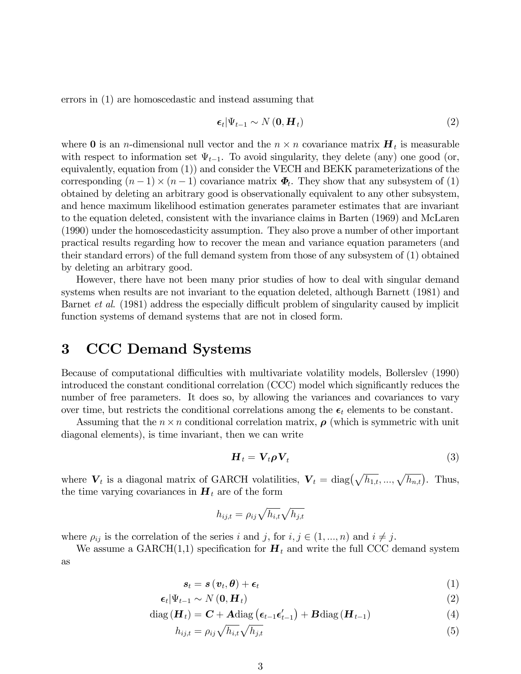errors in (1) are homoscedastic and instead assuming that

$$
\epsilon_t | \Psi_{t-1} \sim N(\mathbf{0}, \mathbf{H}_t) \tag{2}
$$

where **0** is an *n*-dimensional null vector and the  $n \times n$  covariance matrix  $H_t$  is measurable with respect to information set  $\Psi_{t-1}$ . To avoid singularity, they delete (any) one good (or, equivalently, equation from (1)) and consider the VECH and BEKK parameterizations of the corresponding  $(n-1) \times (n-1)$  covariance matrix  $\Phi_t$ . They show that any subsystem of (1) obtained by deleting an arbitrary good is observationally equivalent to any other subsystem, and hence maximum likelihood estimation generates parameter estimates that are invariant to the equation deleted, consistent with the invariance claims in Barten (1969) and McLaren (1990) under the homoscedasticity assumption. They also prove a number of other important practical results regarding how to recover the mean and variance equation parameters (and their standard errors) of the full demand system from those of any subsystem of (1) obtained by deleting an arbitrary good.

However, there have not been many prior studies of how to deal with singular demand systems when results are not invariant to the equation deleted, although Barnett (1981) and Barnet *et al.* (1981) address the especially difficult problem of singularity caused by implicit function systems of demand systems that are not in closed form.

# 3 CCC Demand Systems

Because of computational difficulties with multivariate volatility models, Bollerslev (1990) introduced the constant conditional correlation (CCC) model which significantly reduces the number of free parameters. It does so, by allowing the variances and covariances to vary over time, but restricts the conditional correlations among the  $\epsilon_t$  elements to be constant.

Assuming that the  $n \times n$  conditional correlation matrix,  $\rho$  (which is symmetric with unit diagonal elements), is time invariant, then we can write

$$
\boldsymbol{H}_t = \boldsymbol{V}_t \boldsymbol{\rho} \boldsymbol{V}_t \tag{3}
$$

where  $\mathbf{V}_t$  is a diagonal matrix of GARCH volatilities,  $\mathbf{V}_t = \text{diag}\left(\sqrt{h_{1,t}}, ..., \sqrt{h_{n,t}}\right)$ . Thus, the time varying covariances in  $H_t$  are of the form

$$
h_{ij,t} = \rho_{ij} \sqrt{h_{i,t}} \sqrt{h_{j,t}}
$$

where  $\rho_{ij}$  is the correlation of the series i and j, for  $i, j \in (1, ..., n)$  and  $i \neq j$ .

We assume a GARCH(1,1) specification for  $H_t$  and write the full CCC demand system as

$$
s_t = s\left(v_t, \theta\right) + \epsilon_t \tag{1}
$$

$$
\epsilon_t | \Psi_{t-1} \sim N(\mathbf{0}, \mathbf{H}_t) \tag{2}
$$

$$
diag(\boldsymbol{H}_t) = \boldsymbol{C} + \boldsymbol{A} diag(\boldsymbol{\epsilon}_{t-1} \boldsymbol{\epsilon}'_{t-1}) + \boldsymbol{B} diag(\boldsymbol{H}_{t-1})
$$
\n(4)

$$
h_{ij,t} = \rho_{ij} \sqrt{h_{i,t}} \sqrt{h_{j,t}} \tag{5}
$$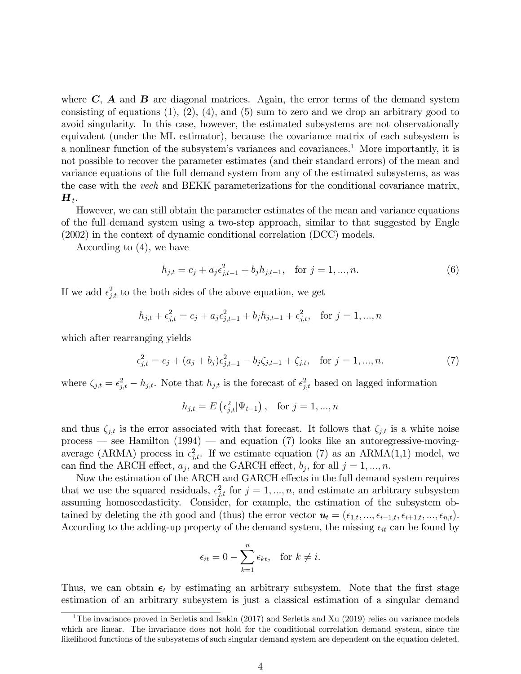where  $C$ ,  $\bf{A}$  and  $\bf{B}$  are diagonal matrices. Again, the error terms of the demand system consisting of equations  $(1)$ ,  $(2)$ ,  $(4)$ , and  $(5)$  sum to zero and we drop an arbitrary good to avoid singularity. In this case, however, the estimated subsystems are not observationally equivalent (under the ML estimator), because the covariance matrix of each subsystem is a nonlinear function of the subsystem's variances and covariances.<sup>1</sup> More importantly, it is not possible to recover the parameter estimates (and their standard errors) of the mean and variance equations of the full demand system from any of the estimated subsystems, as was the case with the vech and BEKK parameterizations for the conditional covariance matrix,  $\boldsymbol{H}_t.$ 

However, we can still obtain the parameter estimates of the mean and variance equations of the full demand system using a two-step approach, similar to that suggested by Engle (2002) in the context of dynamic conditional correlation (DCC) models.

According to (4), we have

$$
h_{j,t} = c_j + a_j \epsilon_{j,t-1}^2 + b_j h_{j,t-1}, \quad \text{for } j = 1, ..., n.
$$
 (6)

If we add  $\epsilon_{j,t}^2$  to the both sides of the above equation, we get

$$
h_{j,t} + \epsilon_{j,t}^2 = c_j + a_j \epsilon_{j,t-1}^2 + b_j h_{j,t-1} + \epsilon_{j,t}^2, \text{ for } j = 1, ..., n
$$

which after rearranging yields

$$
\epsilon_{j,t}^2 = c_j + (a_j + b_j)\epsilon_{j,t-1}^2 - b_j\zeta_{j,t-1} + \zeta_{j,t}, \quad \text{for } j = 1, ..., n. \tag{7}
$$

where  $\zeta_{j,t} = \epsilon_{j,t}^2 - h_{j,t}$ . Note that  $h_{j,t}$  is the forecast of  $\epsilon_{j,t}^2$  based on lagged information

$$
h_{j,t} = E\left(\epsilon_{j,t}^2 | \Psi_{t-1}\right), \text{ for } j = 1, ..., n
$$

and thus  $\zeta_{j,t}$  is the error associated with that forecast. It follows that  $\zeta_{j,t}$  is a white noise process – see Hamilton  $(1994)$  – and equation (7) looks like an autoregressive-movingaverage (ARMA) process in  $\epsilon_{j,t}^2$ . If we estimate equation (7) as an ARMA(1,1) model, we can find the ARCH effect,  $a_j$ , and the GARCH effect,  $b_j$ , for all  $j = 1, ..., n$ .

Now the estimation of the ARCH and GARCH effects in the full demand system requires that we use the squared residuals,  $\epsilon_{j,t}^2$  for  $j = 1, ..., n$ , and estimate an arbitrary subsystem assuming homoscedasticity. Consider, for example, the estimation of the subsystem obtained by deleting the *i*th good and (thus) the error vector  $u_t = (\epsilon_{1,t}, ..., \epsilon_{i-1,t}, \epsilon_{i+1,t}, ..., \epsilon_{n,t}).$ According to the adding-up property of the demand system, the missing  $\epsilon_{it}$  can be found by

$$
\epsilon_{it} = 0 - \sum_{k=1}^{n} \epsilon_{kt}, \quad \text{for } k \neq i.
$$

Thus, we can obtain  $\epsilon_t$  by estimating an arbitrary subsystem. Note that the first stage estimation of an arbitrary subsystem is just a classical estimation of a singular demand

<sup>&</sup>lt;sup>1</sup>The invariance proved in Serletis and Isakin (2017) and Serletis and Xu (2019) relies on variance models which are linear. The invariance does not hold for the conditional correlation demand system, since the likelihood functions of the subsystems of such singular demand system are dependent on the equation deleted.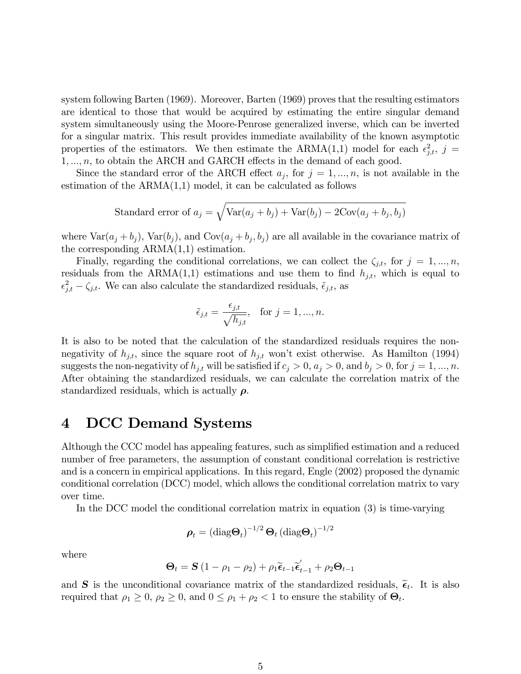system following Barten (1969). Moreover, Barten (1969) proves that the resulting estimators are identical to those that would be acquired by estimating the entire singular demand system simultaneously using the Moore-Penrose generalized inverse, which can be inverted for a singular matrix. This result provides immediate availability of the known asymptotic properties of the estimators. We then estimate the ARMA(1,1) model for each  $\epsilon_{j,t}^2$ ,  $j =$  $1, \ldots, n$ , to obtain the ARCH and GARCH effects in the demand of each good.

Since the standard error of the ARCH effect  $a_j$ , for  $j = 1, ..., n$ , is not available in the estimation of the  $ARMA(1,1)$  model, it can be calculated as follows

Standard error of 
$$
a_j = \sqrt{\text{Var}(a_j + b_j) + \text{Var}(b_j) - 2\text{Cov}(a_j + b_j, b_j)}
$$

where  $\text{Var}(a_j + b_j)$ ,  $\text{Var}(b_j)$ , and  $\text{Cov}(a_j + b_j, b_j)$  are all available in the covariance matrix of the corresponding ARMA(1,1) estimation.

Finally, regarding the conditional correlations, we can collect the  $\zeta_{j,t}$ , for  $j = 1, ..., n$ , residuals from the ARMA(1,1) estimations and use them to find  $h_{j,t}$ , which is equal to  $\epsilon_{j,t}^2 - \zeta_{j,t}$ . We can also calculate the standardized residuals,  $\tilde{\epsilon}_{j,t}$ , as

$$
\tilde{\epsilon}_{j,t} = \frac{\epsilon_{j,t}}{\sqrt{h_{j,t}}}, \text{ for } j = 1, ..., n.
$$

It is also to be noted that the calculation of the standardized residuals requires the nonnegativity of  $h_{j,t}$ , since the square root of  $h_{j,t}$  won't exist otherwise. As Hamilton (1994) suggests the non-negativity of  $h_{j,t}$  will be satisfied if  $c_j > 0$ ,  $a_j > 0$ , and  $b_j > 0$ , for  $j = 1, ..., n$ . After obtaining the standardized residuals, we can calculate the correlation matrix of the standardized residuals, which is actually  $\rho$ .

# 4 DCC Demand Systems

Although the CCC model has appealing features, such as simplified estimation and a reduced number of free parameters, the assumption of constant conditional correlation is restrictive and is a concern in empirical applications. In this regard, Engle (2002) proposed the dynamic conditional correlation (DCC) model, which allows the conditional correlation matrix to vary over time.

In the DCC model the conditional correlation matrix in equation (3) is time-varying

$$
\boldsymbol{\rho}_t = \left(\text{diag}\boldsymbol{\Theta}_t\right)^{-1/2}\boldsymbol{\Theta}_t\left(\text{diag}\boldsymbol{\Theta}_t\right)^{-1/2}
$$

where

$$
\Theta_t = \mathbf{S} \left( 1 - \rho_1 - \rho_2 \right) + \rho_1 \widetilde{\boldsymbol{\epsilon}}_{t-1} \widetilde{\boldsymbol{\epsilon}}_{t-1} + \rho_2 \Theta_{t-1}
$$

and **S** is the unconditional covariance matrix of the standardized residuals,  $\tilde{\epsilon}_t$ . It is also required that  $\rho_1 \geq 0$ ,  $\rho_2 \geq 0$ , and  $0 \leq \rho_1 + \rho_2 < 1$  to ensure the stability of  $\Theta_t$ .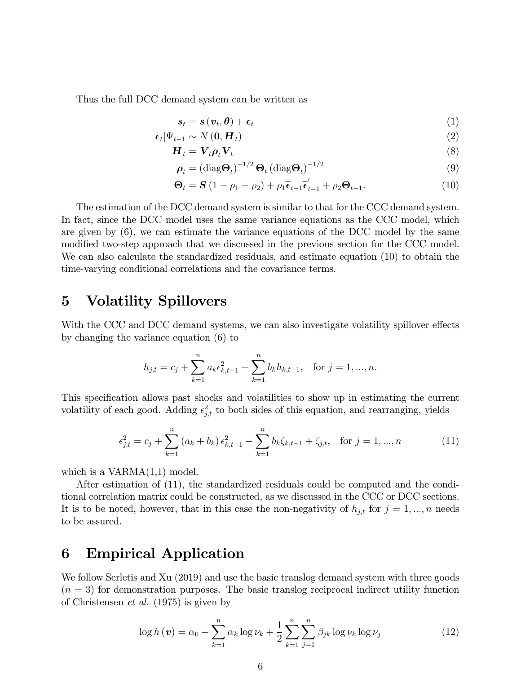Thus the full DCC demand system can be written as

$$
s_t = s\left(v_t, \theta\right) + \epsilon_t \tag{1}
$$

$$
\epsilon_t | \Psi_{t-1} \sim N(\mathbf{0}, \mathbf{H}_t) \tag{2}
$$

$$
\mathbf{H}_t = \mathbf{V}_t \rho_t \mathbf{V}_t \tag{8}
$$

$$
\boldsymbol{\rho}_t = \left(\text{diag}\boldsymbol{\Theta}_t\right)^{-1/2}\boldsymbol{\Theta}_t\left(\text{diag}\boldsymbol{\Theta}_t\right)^{-1/2} \tag{9}
$$

$$
\Theta_t = \mathbf{S} \left( 1 - \rho_1 - \rho_2 \right) + \rho_1 \tilde{\boldsymbol{\epsilon}}_{t-1} \tilde{\boldsymbol{\epsilon}}_{t-1}' + \rho_2 \Theta_{t-1}.
$$
\n(10)

The estimation of the DCC demand system is similar to that for the CCC demand system. In fact, since the DCC model uses the same variance equations as the CCC model, which are given by (6), we can estimate the variance equations of the DCC model by the same modified two-step approach that we discussed in the previous section for the CCC model. We can also calculate the standardized residuals, and estimate equation (10) to obtain the time-varying conditional correlations and the covariance terms.

## 5 Volatility Spillovers

With the CCC and DCC demand systems, we can also investigate volatility spillover effects by changing the variance equation (6) to

$$
h_{j,t} = c_j + \sum_{k=1}^n a_k \epsilon_{k,t-1}^2 + \sum_{k=1}^n b_k h_{k,t-1}, \text{ for } j = 1, ..., n.
$$

This specification allows past shocks and volatilities to show up in estimating the current volatility of each good. Adding  $\epsilon_{j,t}^2$  to both sides of this equation, and rearranging, yields

$$
\epsilon_{j,t}^2 = c_j + \sum_{k=1}^n (a_k + b_k) \epsilon_{k,t-1}^2 - \sum_{k=1}^n b_k \zeta_{k,t-1} + \zeta_{j,t}, \quad \text{for } j = 1, ..., n
$$
 (11)

which is a  $VARMA(1,1)$  model.

After estimation of (11), the standardized residuals could be computed and the conditional correlation matrix could be constructed, as we discussed in the CCC or DCC sections. It is to be noted, however, that in this case the non-negativity of  $h_{j,t}$  for  $j = 1, ..., n$  needs to be assured.

### 6 Empirical Application

We follow Serletis and Xu (2019) and use the basic translog demand system with three goods  $(n = 3)$  for demonstration purposes. The basic translog reciprocal indirect utility function of Christensen et al. (1975) is given by

$$
\log h(\boldsymbol{v}) = \alpha_0 + \sum_{k=1}^{n} \alpha_k \log \nu_k + \frac{1}{2} \sum_{k=1}^{n} \sum_{j=1}^{n} \beta_{jk} \log \nu_k \log \nu_j \tag{12}
$$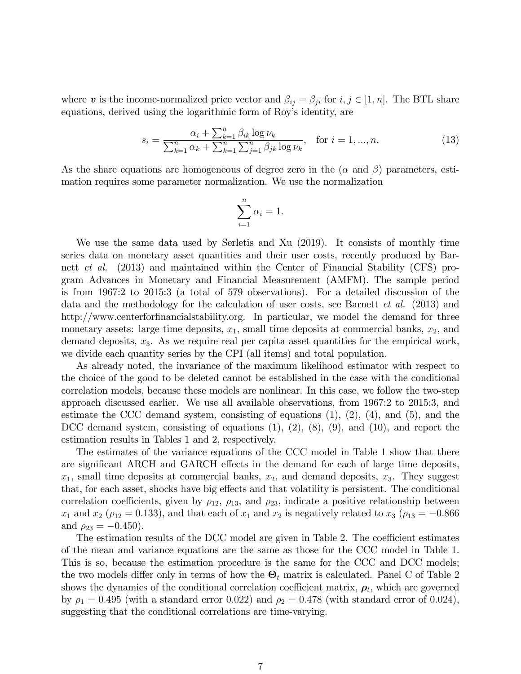where v is the income-normalized price vector and  $\beta_{ij} = \beta_{ji}$  for  $i, j \in [1, n]$ . The BTL share equations, derived using the logarithmic form of Roy's identity, are

$$
s_i = \frac{\alpha_i + \sum_{k=1}^n \beta_{ik} \log \nu_k}{\sum_{k=1}^n \alpha_k + \sum_{k=1}^n \sum_{j=1}^n \beta_{jk} \log \nu_k}, \text{ for } i = 1, ..., n. \tag{13}
$$

As the share equations are homogeneous of degree zero in the  $(\alpha \text{ and } \beta)$  parameters, estimation requires some parameter normalization. We use the normalization

$$
\sum_{i=1}^{n} \alpha_i = 1.
$$

We use the same data used by Serletis and Xu (2019). It consists of monthly time series data on monetary asset quantities and their user costs, recently produced by Barnett et al. (2013) and maintained within the Center of Financial Stability (CFS) program Advances in Monetary and Financial Measurement (AMFM). The sample period is from 1967:2 to 2015:3 (a total of 579 observations). For a detailed discussion of the data and the methodology for the calculation of user costs, see Barnett et al. (2013) and http://www.centerforfinancialstability.org. In particular, we model the demand for three monetary assets: large time deposits,  $x_1$ , small time deposits at commercial banks,  $x_2$ , and demand deposits,  $x_3$ . As we require real per capita asset quantities for the empirical work, we divide each quantity series by the CPI (all items) and total population.

As already noted, the invariance of the maximum likelihood estimator with respect to the choice of the good to be deleted cannot be established in the case with the conditional correlation models, because these models are nonlinear. In this case, we follow the two-step approach discussed earlier. We use all available observations, from 1967:2 to 2015:3, and estimate the CCC demand system, consisting of equations  $(1)$ ,  $(2)$ ,  $(4)$ , and  $(5)$ , and the DCC demand system, consisting of equations  $(1)$ ,  $(2)$ ,  $(8)$ ,  $(9)$ , and  $(10)$ , and report the estimation results in Tables 1 and 2, respectively.

The estimates of the variance equations of the CCC model in Table 1 show that there are significant ARCH and GARCH effects in the demand for each of large time deposits,  $x_1$ , small time deposits at commercial banks,  $x_2$ , and demand deposits,  $x_3$ . They suggest that, for each asset, shocks have big effects and that volatility is persistent. The conditional correlation coefficients, given by  $\rho_{12}$ ,  $\rho_{13}$ , and  $\rho_{23}$ , indicate a positive relationship between  $x_1$  and  $x_2$  ( $\rho_{12} = 0.133$ ), and that each of  $x_1$  and  $x_2$  is negatively related to  $x_3$  ( $\rho_{13} = -0.866$ ) and  $\rho_{23} = -0.450$ .

The estimation results of the DCC model are given in Table 2. The coefficient estimates of the mean and variance equations are the same as those for the CCC model in Table 1. This is so, because the estimation procedure is the same for the CCC and DCC models; the two models differ only in terms of how the  $\Theta_t$  matrix is calculated. Panel C of Table 2 shows the dynamics of the conditional correlation coefficient matrix,  $\rho_t$ , which are governed by  $\rho_1 = 0.495$  (with a standard error 0.022) and  $\rho_2 = 0.478$  (with standard error of 0.024), suggesting that the conditional correlations are time-varying.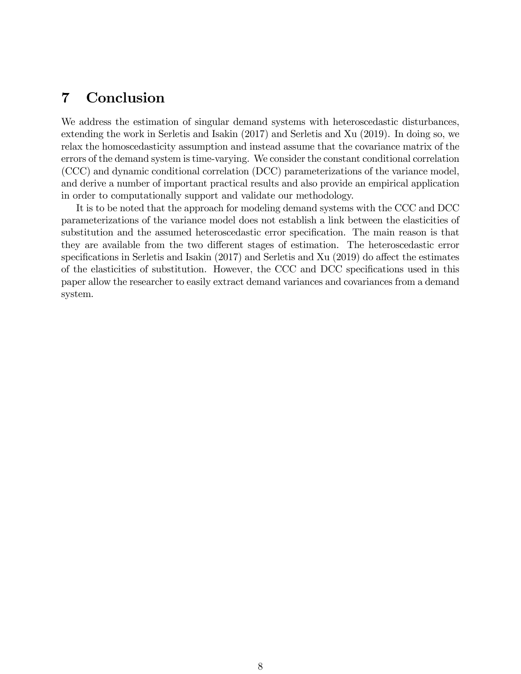# 7 Conclusion

We address the estimation of singular demand systems with heteroscedastic disturbances, extending the work in Serletis and Isakin (2017) and Serletis and Xu (2019). In doing so, we relax the homoscedasticity assumption and instead assume that the covariance matrix of the errors of the demand system is time-varying. We consider the constant conditional correlation (CCC) and dynamic conditional correlation (DCC) parameterizations of the variance model, and derive a number of important practical results and also provide an empirical application in order to computationally support and validate our methodology.

It is to be noted that the approach for modeling demand systems with the CCC and DCC parameterizations of the variance model does not establish a link between the elasticities of substitution and the assumed heteroscedastic error specification. The main reason is that they are available from the two different stages of estimation. The heteroscedastic error specifications in Serletis and Isakin  $(2017)$  and Serletis and Xu  $(2019)$  do affect the estimates of the elasticities of substitution. However, the CCC and DCC specifications used in this paper allow the researcher to easily extract demand variances and covariances from a demand system.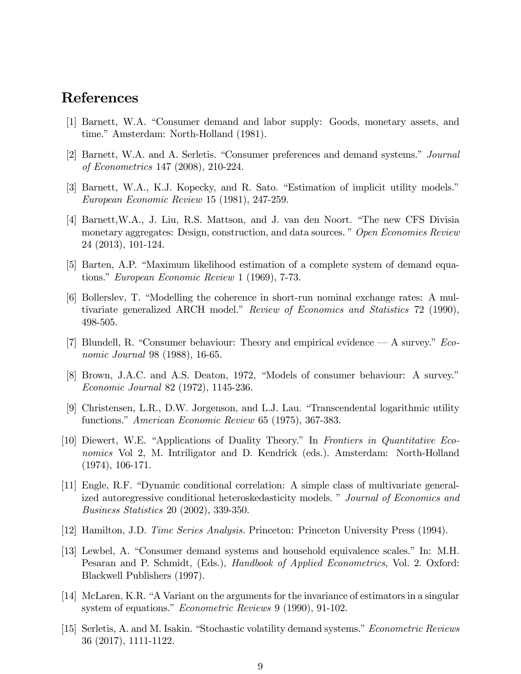### References

- [1] Barnett, W.A. "Consumer demand and labor supply: Goods, monetary assets, and time." Amsterdam: North-Holland (1981).
- [2] Barnett, W.A. and A. Serletis. "Consumer preferences and demand systems." Journal of Econometrics 147 (2008), 210-224.
- [3] Barnett, W.A., K.J. Kopecky, and R. Sato. "Estimation of implicit utility models." European Economic Review 15 (1981), 247-259.
- [4] Barnett, W.A., J. Liu, R.S. Mattson, and J. van den Noort. "The new CFS Divisia monetary aggregates: Design, construction, and data sources." Open Economies Review 24 (2013), 101-124.
- [5] Barten, A.P. "Maximum likelihood estimation of a complete system of demand equations." European Economic Review 1 (1969),  $7-73$ .
- [6] Bollerslev, T. "Modelling the coherence in short-run nominal exchange rates: A multivariate generalized ARCH model." Review of Economics and Statistics 72 (1990), 498-505.
- [7] Blundell, R. "Consumer behaviour: Theory and empirical evidence  $\sim A$  survey." Economic Journal 98 (1988), 16-65.
- [8] Brown, J.A.C. and A.S. Deaton, 1972, "Models of consumer behaviour: A survey." Economic Journal 82 (1972), 1145-236.
- [9] Christensen, L.R., D.W. Jorgenson, and L.J. Lau. "Transcendental logarithmic utility functions." American Economic Review 65 (1975), 367-383.
- [10] Diewert, W.E. "Applications of Duality Theory." In Frontiers in Quantitative Economics Vol 2, M. Intriligator and D. Kendrick (eds.). Amsterdam: North-Holland (1974), 106-171.
- [11] Engle, R.F. "Dynamic conditional correlation: A simple class of multivariate generalized autoregressive conditional heteroskedasticity models. " Journal of Economics and Business Statistics 20 (2002), 339-350.
- [12] Hamilton, J.D. Time Series Analysis. Princeton: Princeton University Press (1994).
- [13] Lewbel, A. "Consumer demand systems and household equivalence scales." In: M.H. Pesaran and P. Schmidt, (Eds.), *Handbook of Applied Econometrics*, Vol. 2. Oxford: Blackwell Publishers (1997).
- [14] McLaren, K.R. "A Variant on the arguments for the invariance of estimators in a singular system of equations." *Econometric Reviews* 9 (1990), 91-102.
- [15] Serletis, A. and M. Isakin. "Stochastic volatility demand systems." *Econometric Reviews* 36 (2017), 1111-1122.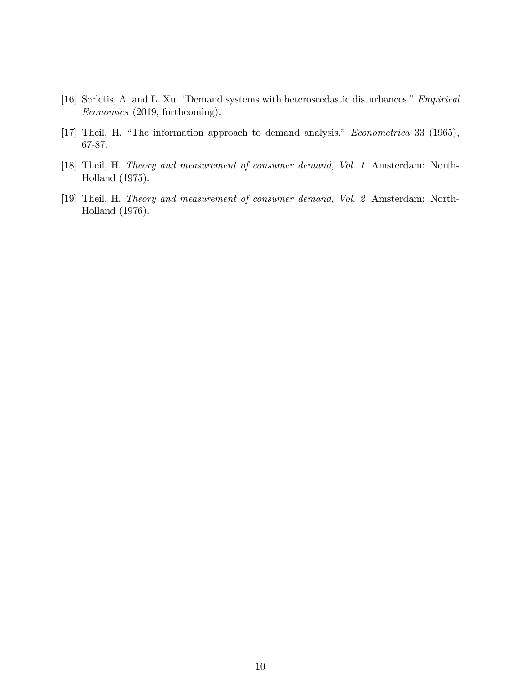- [16] Serletis, A. and L. Xu. "Demand systems with heteroscedastic disturbances." Empirical Economics (2019, forthcoming).
- [17] Theil, H. "The information approach to demand analysis." *Econometrica* 33 (1965), 67-87.
- [18] Theil, H. Theory and measurement of consumer demand, Vol. 1. Amsterdam: North-Holland (1975).
- [19] Theil, H. Theory and measurement of consumer demand, Vol. 2. Amsterdam: North-Holland (1976).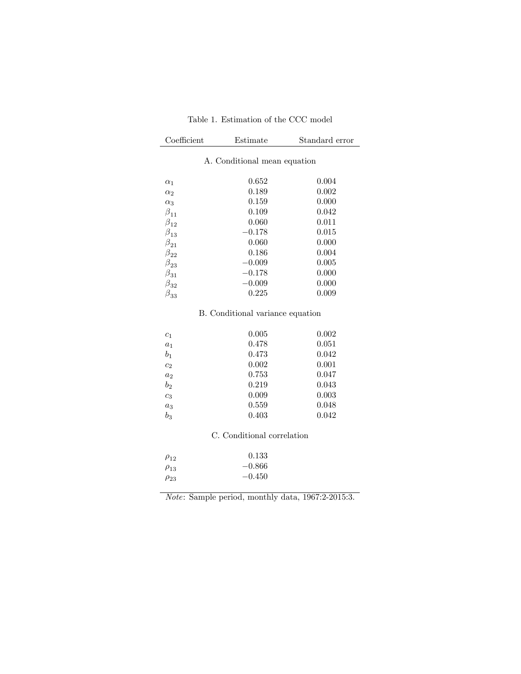|  | Table 1. Estimation of the CCC model |  |  |
|--|--------------------------------------|--|--|
|  |                                      |  |  |

| Coefficient                      | Estimate                     | Standard error |  |
|----------------------------------|------------------------------|----------------|--|
|                                  | A. Conditional mean equation |                |  |
|                                  |                              |                |  |
| $\alpha_1$                       | 0.652                        | 0.004          |  |
| $\alpha_2$                       | 0.189                        | 0.002          |  |
| $\alpha_3$                       | 0.159                        | 0.000          |  |
| $\beta_{11}$                     | 0.109                        | 0.042          |  |
| $\beta_{12}$                     | 0.060                        | 0.011          |  |
| $\beta_{13}$                     | $-0.178$                     | 0.015          |  |
| $\beta_{21}$                     | 0.060                        | 0.000          |  |
| $\beta_{22}$                     | 0.186                        | 0.004          |  |
| $\beta_{23}$                     | $-0.009$                     | 0.005          |  |
| $\beta_{31}$                     | $-0.178$                     | 0.000          |  |
| $\beta_{32}^{}$                  | $-0.009$                     | 0.000          |  |
| $\beta_{33}^{}$                  | 0.225                        | 0.009          |  |
| B. Conditional variance equation |                              |                |  |

| $c_1$          | 0.005 | 0.002 |
|----------------|-------|-------|
| $a_1$          | 0.478 | 0.051 |
| $b_1$          | 0.473 | 0.042 |
| c <sub>2</sub> | 0.002 | 0.001 |
| $a_2$          | 0.753 | 0.047 |
| $b_{2}$        | 0.219 | 0.043 |
| $c_3$          | 0.009 | 0.003 |
| $a_3$          | 0.559 | 0.048 |
| $b_3$          | 0.403 | 0.042 |
|                |       |       |

### C. Conditional correlation

| 0.133    |
|----------|
| $-0.866$ |
| $-0.450$ |
|          |

Note: Sample period, monthly data, 1967:2-2015:3.